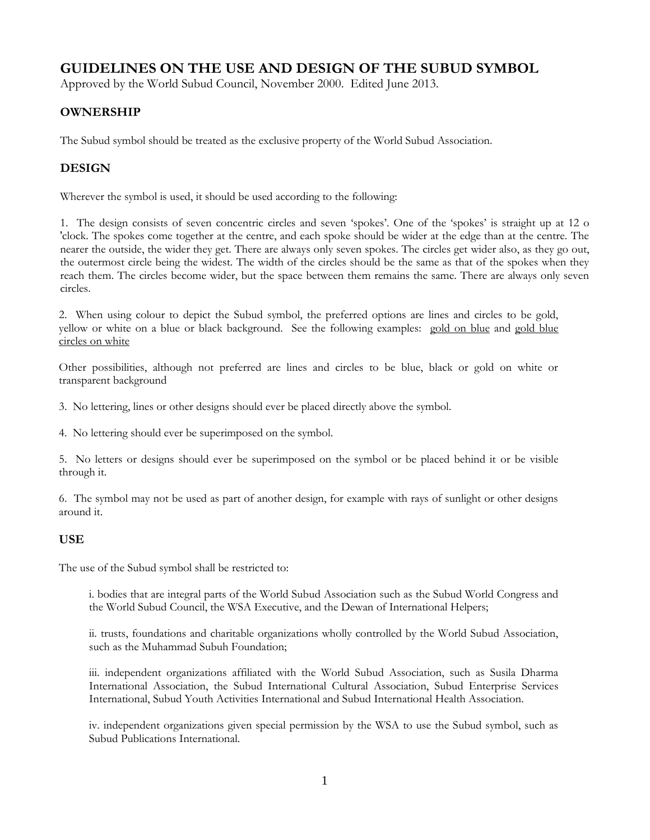# **GUIDELINES ON THE USE AND DESIGN OF THE SUBUD SYMBOL**

Approved by the World Subud Council, November 2000. Edited June 2013.

## **OWNERSHIP**

The Subud symbol should be treated as the exclusive property of the World Subud Association.

# **DESIGN**

Wherever the symbol is used, it should be used according to the following:

1. The design consists of seven concentric circles and seven 'spokes'. One of the 'spokes' is straight up at 12 o 'clock. The spokes come together at the centre, and each spoke should be wider at the edge than at the centre. The nearer the outside, the wider they get. There are always only seven spokes. The circles get wider also, as they go out, the outermost circle being the widest. The width of the circles should be the same as that of the spokes when they reach them. The circles become wider, but the space between them remains the same. There are always only seven circles.

2. When using colour to depict the Subud symbol, the preferred options are lines and circles to be gold, yellow or white on a blue or black background. See the following examples: [gold on blue](http://www.subud.org/dyn/image/media_progs/copyright_trademark/SS_goldonblue.jpg) and [gold blue](http://www.subud.org/dyn/image/media_progs/copyright_trademark/SS5goldbluehilite.jpg)  [circles on white](http://www.subud.org/dyn/image/media_progs/copyright_trademark/SS5goldbluehilite.jpg)

Other possibilities, although not preferred are lines and circles to be blue, black or gold on white or transparent background

3. No lettering, lines or other designs should ever be placed directly above the symbol.

4. No lettering should ever be superimposed on the symbol.

5. No letters or designs should ever be superimposed on the symbol or be placed behind it or be visible through it.

6. The symbol may not be used as part of another design, for example with rays of sunlight or other designs around it.

#### **USE**

The use of the Subud symbol shall be restricted to:

i. bodies that are integral parts of the World Subud Association such as the Subud World Congress and the World Subud Council, the WSA Executive, and the Dewan of International Helpers;

ii. trusts, foundations and charitable organizations wholly controlled by the World Subud Association, such as the Muhammad Subuh Foundation;

iii. independent organizations affiliated with the World Subud Association, such as Susila Dharma International Association, the Subud International Cultural Association, Subud Enterprise Services International, Subud Youth Activities International and Subud International Health Association.

iv. independent organizations given special permission by the WSA to use the Subud symbol, such as Subud Publications International.